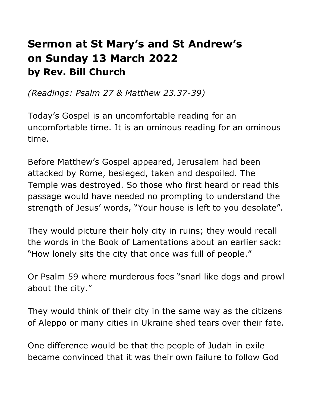## **Sermon at St Mary's and St Andrew's on Sunday 13 March 2022 by Rev. Bill Church**

*(Readings: Psalm 27 & Matthew 23.37-39)*

Today's Gospel is an uncomfortable reading for an uncomfortable time. It is an ominous reading for an ominous time.

Before Matthew's Gospel appeared, Jerusalem had been attacked by Rome, besieged, taken and despoiled. The Temple was destroyed. So those who first heard or read this passage would have needed no prompting to understand the strength of Jesus' words, "Your house is left to you desolate".

They would picture their holy city in ruins; they would recall the words in the Book of Lamentations about an earlier sack: "How lonely sits the city that once was full of people."

Or Psalm 59 where murderous foes "snarl like dogs and prowl about the city."

They would think of their city in the same way as the citizens of Aleppo or many cities in Ukraine shed tears over their fate.

One difference would be that the people of Judah in exile became convinced that it was their own failure to follow God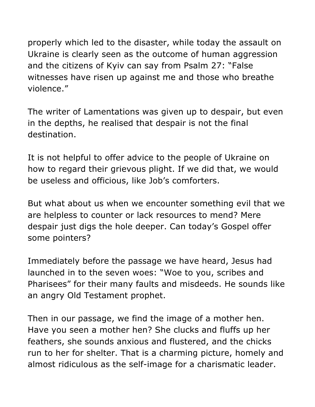properly which led to the disaster, while today the assault on Ukraine is clearly seen as the outcome of human aggression and the citizens of Kyiv can say from Psalm 27: "False witnesses have risen up against me and those who breathe violence."

The writer of Lamentations was given up to despair, but even in the depths, he realised that despair is not the final destination.

It is not helpful to offer advice to the people of Ukraine on how to regard their grievous plight. If we did that, we would be useless and officious, like Job's comforters.

But what about us when we encounter something evil that we are helpless to counter or lack resources to mend? Mere despair just digs the hole deeper. Can today's Gospel offer some pointers?

Immediately before the passage we have heard, Jesus had launched in to the seven woes: "Woe to you, scribes and Pharisees" for their many faults and misdeeds. He sounds like an angry Old Testament prophet.

Then in our passage, we find the image of a mother hen. Have you seen a mother hen? She clucks and fluffs up her feathers, she sounds anxious and flustered, and the chicks run to her for shelter. That is a charming picture, homely and almost ridiculous as the self-image for a charismatic leader.